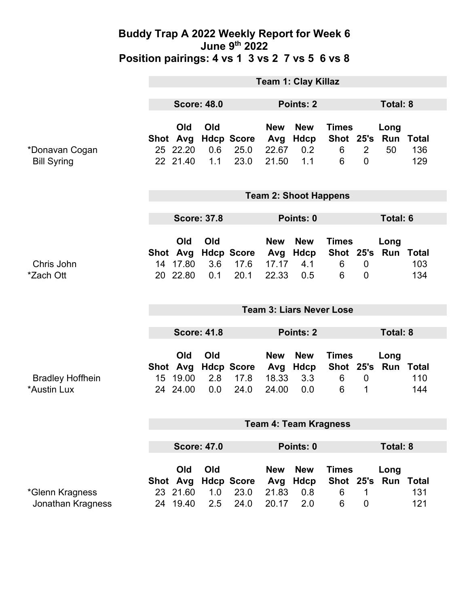|                                        | <b>Team 1: Clay Killaz</b>      |                                         |                   |                                   |                                     |                                  |                                     |                               |                             |                            |
|----------------------------------------|---------------------------------|-----------------------------------------|-------------------|-----------------------------------|-------------------------------------|----------------------------------|-------------------------------------|-------------------------------|-----------------------------|----------------------------|
|                                        | <b>Score: 48.0</b>              |                                         |                   | Points: 2                         |                                     |                                  |                                     | <b>Total: 8</b>               |                             |                            |
| *Donavan Cogan<br><b>Bill Syring</b>   | Shot Avg                        | Old<br>25 22.20<br>22 21.40             | Old<br>0.6<br>1.1 | <b>Hdcp Score</b><br>25.0<br>23.0 | <b>New</b><br>Avg<br>22.67<br>21.50 | <b>New</b><br>Hdcp<br>0.2<br>1.1 | <b>Times</b><br>Shot 25's<br>6<br>6 | $\overline{2}$<br>$\Omega$    | Long<br>Run<br>50           | <b>Total</b><br>136<br>129 |
|                                        | <b>Team 2: Shoot Happens</b>    |                                         |                   |                                   |                                     |                                  |                                     |                               |                             |                            |
|                                        | <b>Score: 37.8</b>              |                                         |                   |                                   | Points: 0                           |                                  |                                     |                               | <b>Total: 6</b>             |                            |
| Chris John<br>*Zach Ott                |                                 | Old<br>Shot Avg<br>14 17.80<br>20 22.80 | Old<br>3.6<br>0.1 | <b>Hdcp Score</b><br>17.6<br>20.1 | <b>New</b><br>Avg<br>17.17<br>22.33 | <b>New</b><br>Hdcp<br>4.1<br>0.5 | <b>Times</b><br>6<br>6              | $\mathbf 0$<br>$\overline{0}$ | Long<br>Shot 25's Run Total | 103<br>134                 |
|                                        | <b>Team 3: Liars Never Lose</b> |                                         |                   |                                   |                                     |                                  |                                     |                               |                             |                            |
|                                        | <b>Score: 41.8</b>              |                                         |                   | Points: 2                         |                                     |                                  |                                     | <b>Total: 8</b>               |                             |                            |
|                                        |                                 |                                         |                   |                                   |                                     |                                  |                                     |                               |                             |                            |
| <b>Bradley Hoffhein</b><br>*Austin Lux |                                 | Old<br>Shot Avg<br>15 19.00<br>24 24.00 | Old<br>2.8<br>0.0 | <b>Hdcp Score</b><br>17.8<br>24.0 | <b>New</b><br>Avg<br>18.33<br>24.00 | <b>New</b><br>Hdcp<br>3.3<br>0.0 | <b>Times</b><br>Shot 25's<br>6<br>6 | $\mathbf 0$<br>1              | Long<br>Run                 | <b>Total</b><br>110<br>144 |
|                                        | <b>Team 4: Team Kragness</b>    |                                         |                   |                                   |                                     |                                  |                                     |                               |                             |                            |
|                                        |                                 | <b>Score: 47.0</b>                      |                   |                                   | Points: 0                           |                                  |                                     |                               | <b>Total: 8</b>             |                            |
| *Glenn Kragness<br>Jonathan Kragness   |                                 | Old<br>Shot Avg<br>23 21.60             | Old<br>1.0        | <b>Hdcp Score</b><br>23.0<br>24.0 | <b>New</b><br>Avg<br>21.83          | <b>New</b><br><b>Hdcp</b><br>0.8 | <b>Times</b><br>6                   | 1                             | Long<br>Shot 25's Run Total | 131                        |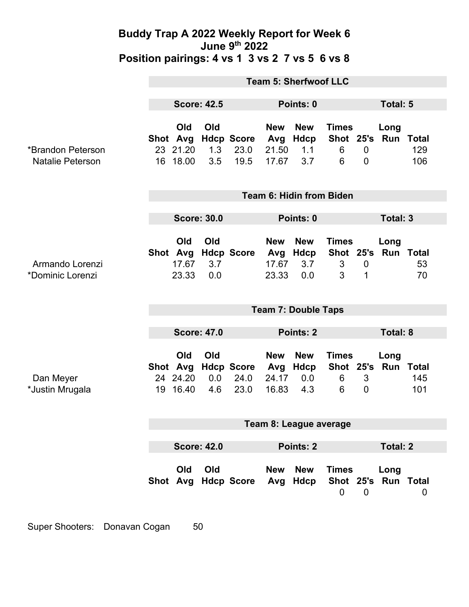|                                              | <b>Team 5: Sherfwoof LLC</b> |                                         |                   |                                   |                                     |                                  |                                     |                               |                             |                            |  |
|----------------------------------------------|------------------------------|-----------------------------------------|-------------------|-----------------------------------|-------------------------------------|----------------------------------|-------------------------------------|-------------------------------|-----------------------------|----------------------------|--|
|                                              | <b>Score: 42.5</b>           |                                         |                   |                                   | Points: 0                           |                                  |                                     | <b>Total: 5</b>               |                             |                            |  |
| *Brandon Peterson<br><b>Natalie Peterson</b> |                              | Old<br>Shot Avg<br>23 21.20<br>16 18.00 | Old<br>1.3<br>3.5 | <b>Hdcp Score</b><br>23.0<br>19.5 | <b>New</b><br>Avg<br>21.50<br>17.67 | <b>New</b><br>Hdcp<br>1.1<br>3.7 | <b>Times</b><br>Shot 25's<br>6<br>6 | $\mathbf 0$<br>$\mathbf 0$    | Long<br>Run Total           | 129<br>106                 |  |
|                                              | Team 6: Hidin from Biden     |                                         |                   |                                   |                                     |                                  |                                     |                               |                             |                            |  |
|                                              | <b>Score: 30.0</b>           |                                         |                   | Points: 0                         |                                     |                                  |                                     | Total: 3                      |                             |                            |  |
| Armando Lorenzi<br>*Dominic Lorenzi          |                              | Old<br>Shot Avg<br>17.67<br>23.33       | Old<br>3.7<br>0.0 | <b>Hdcp Score</b>                 | <b>New</b><br>Avg<br>17.67<br>23.33 | <b>New</b><br>Hdcp<br>3.7<br>0.0 | <b>Times</b><br>$\mathfrak{S}$<br>3 | $\mathbf 0$<br>1              | Long<br>Shot 25's Run Total | 53<br>70                   |  |
|                                              | <b>Team 7: Double Taps</b>   |                                         |                   |                                   |                                     |                                  |                                     |                               |                             |                            |  |
|                                              | <b>Score: 47.0</b>           |                                         |                   |                                   | Points: 2                           |                                  |                                     |                               | <b>Total: 8</b>             |                            |  |
| Dan Meyer<br>*Justin Mrugala                 |                              | Old<br>Shot Avg<br>24 24.20<br>19 16.40 | Old<br>0.0<br>4.6 | <b>Hdcp Score</b><br>24.0<br>23.0 | <b>New</b><br>Avg<br>24.17<br>16.83 | <b>New</b><br>Hdcp<br>0.0<br>4.3 | <b>Times</b><br>6<br>6              | $\mathfrak{S}$<br>$\mathbf 0$ | Long<br>Shot 25's Run       | <b>Total</b><br>145<br>101 |  |
|                                              | Team 8: League average       |                                         |                   |                                   |                                     |                                  |                                     |                               |                             |                            |  |
|                                              | <b>Score: 42.0</b>           |                                         |                   |                                   | Points: 2                           |                                  |                                     |                               | <b>Total: 2</b>             |                            |  |
|                                              |                              | Old                                     | Old               | Shot Avg Hdcp Score Avg Hdcp      | <b>New</b>                          | <b>New</b>                       | <b>Times</b><br>$\mathbf 0$         | $\mathbf 0$                   | Long<br>Shot 25's Run Total | 0                          |  |

Super Shooters: Donavan Cogan 50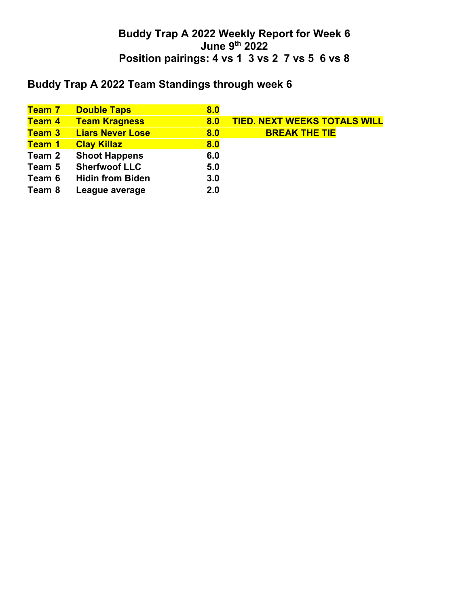# **Buddy Trap A 2022 Team Standings through week 6**

| <mark>Team 7</mark> | <b>Double Taps</b>      | 8.0 |                                     |
|---------------------|-------------------------|-----|-------------------------------------|
| Team 4              | <b>Team Kragness</b>    | 8.0 | <b>TIED. NEXT WEEKS TOTALS WILL</b> |
| <b>Team 3</b>       | <b>Liars Never Lose</b> | 8.0 | <b>BREAK THE TIE</b>                |
| Team 1              | <b>Clay Killaz</b>      | 8.0 |                                     |
| Team 2              | <b>Shoot Happens</b>    | 6.0 |                                     |
| Team 5              | <b>Sherfwoof LLC</b>    | 5.0 |                                     |
| Team 6              | <b>Hidin from Biden</b> | 3.0 |                                     |
| Team 8              | League average          | 2.0 |                                     |